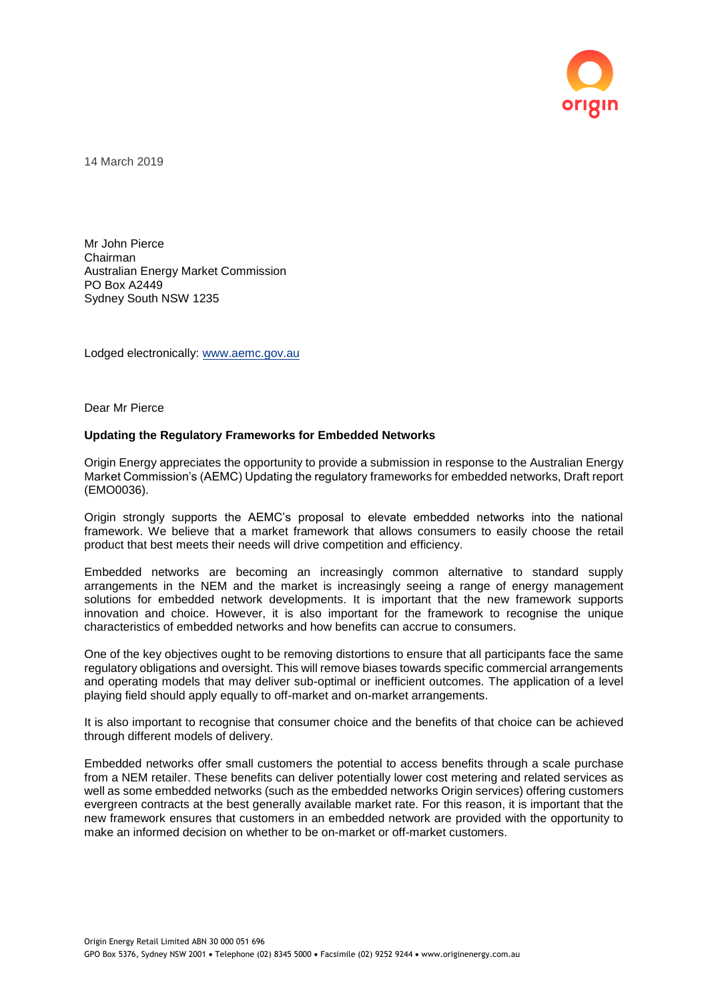

14 March 2019

Mr John Pierce Chairman Australian Energy Market Commission PO Box A2449 Sydney South NSW 1235

Lodged electronically: [www.aemc.gov.au](http://www.aemc.gov.au/)

Dear Mr Pierce

## **Updating the Regulatory Frameworks for Embedded Networks**

Origin Energy appreciates the opportunity to provide a submission in response to the Australian Energy Market Commission's (AEMC) Updating the regulatory frameworks for embedded networks, Draft report (EMO0036).

Origin strongly supports the AEMC's proposal to elevate embedded networks into the national framework. We believe that a market framework that allows consumers to easily choose the retail product that best meets their needs will drive competition and efficiency.

Embedded networks are becoming an increasingly common alternative to standard supply arrangements in the NEM and the market is increasingly seeing a range of energy management solutions for embedded network developments. It is important that the new framework supports innovation and choice. However, it is also important for the framework to recognise the unique characteristics of embedded networks and how benefits can accrue to consumers.

One of the key objectives ought to be removing distortions to ensure that all participants face the same regulatory obligations and oversight. This will remove biases towards specific commercial arrangements and operating models that may deliver sub-optimal or inefficient outcomes. The application of a level playing field should apply equally to off-market and on-market arrangements.

It is also important to recognise that consumer choice and the benefits of that choice can be achieved through different models of delivery.

Embedded networks offer small customers the potential to access benefits through a scale purchase from a NEM retailer. These benefits can deliver potentially lower cost metering and related services as well as some embedded networks (such as the embedded networks Origin services) offering customers evergreen contracts at the best generally available market rate. For this reason, it is important that the new framework ensures that customers in an embedded network are provided with the opportunity to make an informed decision on whether to be on-market or off-market customers.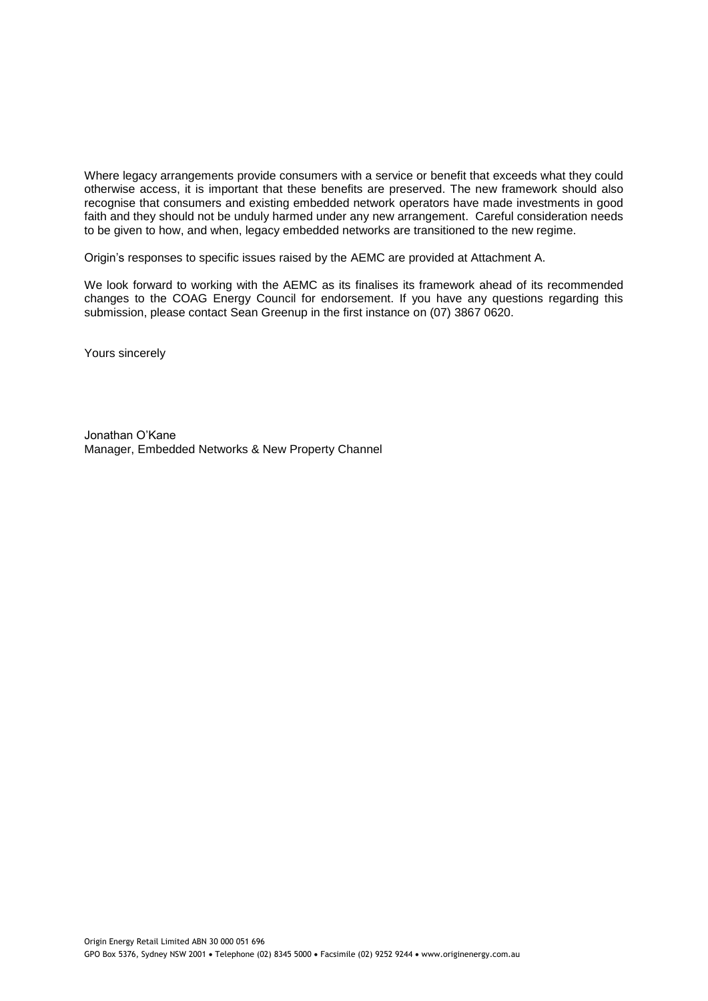Where legacy arrangements provide consumers with a service or benefit that exceeds what they could otherwise access, it is important that these benefits are preserved. The new framework should also recognise that consumers and existing embedded network operators have made investments in good faith and they should not be unduly harmed under any new arrangement. Careful consideration needs to be given to how, and when, legacy embedded networks are transitioned to the new regime.

Origin's responses to specific issues raised by the AEMC are provided at Attachment A.

We look forward to working with the AEMC as its finalises its framework ahead of its recommended changes to the COAG Energy Council for endorsement. If you have any questions regarding this submission, please contact Sean Greenup in the first instance on (07) 3867 0620.

Yours sincerely

Jonathan O'Kane Manager, Embedded Networks & New Property Channel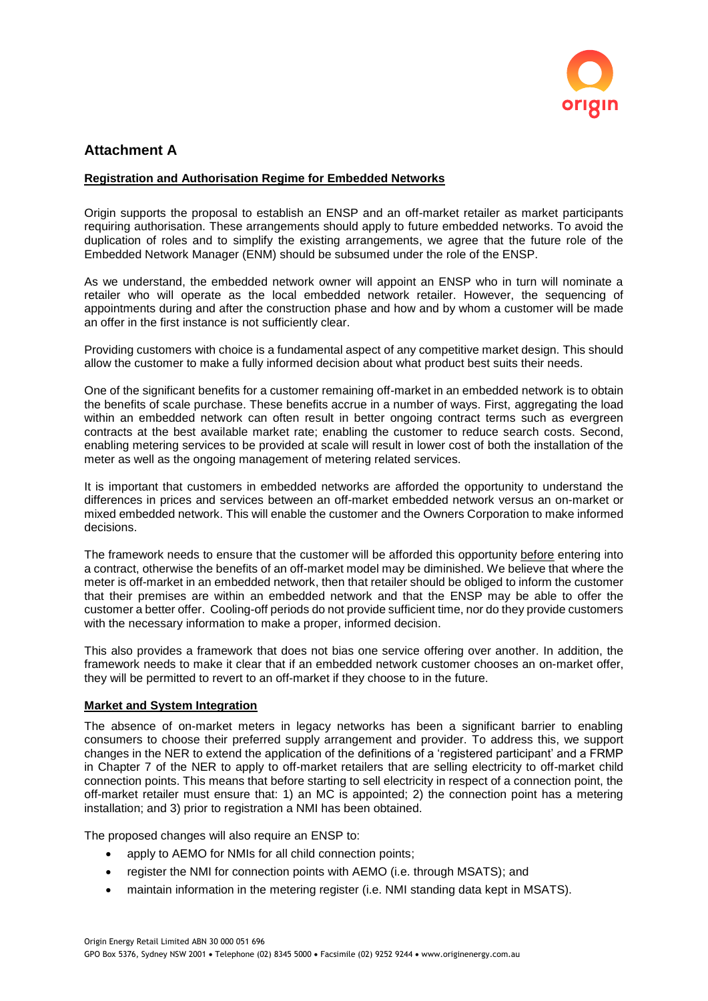

# **Attachment A**

## **Registration and Authorisation Regime for Embedded Networks**

Origin supports the proposal to establish an ENSP and an off-market retailer as market participants requiring authorisation. These arrangements should apply to future embedded networks. To avoid the duplication of roles and to simplify the existing arrangements, we agree that the future role of the Embedded Network Manager (ENM) should be subsumed under the role of the ENSP.

As we understand, the embedded network owner will appoint an ENSP who in turn will nominate a retailer who will operate as the local embedded network retailer. However, the sequencing of appointments during and after the construction phase and how and by whom a customer will be made an offer in the first instance is not sufficiently clear.

Providing customers with choice is a fundamental aspect of any competitive market design. This should allow the customer to make a fully informed decision about what product best suits their needs.

One of the significant benefits for a customer remaining off-market in an embedded network is to obtain the benefits of scale purchase. These benefits accrue in a number of ways. First, aggregating the load within an embedded network can often result in better ongoing contract terms such as evergreen contracts at the best available market rate; enabling the customer to reduce search costs. Second, enabling metering services to be provided at scale will result in lower cost of both the installation of the meter as well as the ongoing management of metering related services.

It is important that customers in embedded networks are afforded the opportunity to understand the differences in prices and services between an off-market embedded network versus an on-market or mixed embedded network. This will enable the customer and the Owners Corporation to make informed decisions.

The framework needs to ensure that the customer will be afforded this opportunity before entering into a contract, otherwise the benefits of an off-market model may be diminished. We believe that where the meter is off-market in an embedded network, then that retailer should be obliged to inform the customer that their premises are within an embedded network and that the ENSP may be able to offer the customer a better offer. Cooling-off periods do not provide sufficient time, nor do they provide customers with the necessary information to make a proper, informed decision.

This also provides a framework that does not bias one service offering over another. In addition, the framework needs to make it clear that if an embedded network customer chooses an on-market offer, they will be permitted to revert to an off-market if they choose to in the future.

#### **Market and System Integration**

The absence of on-market meters in legacy networks has been a significant barrier to enabling consumers to choose their preferred supply arrangement and provider. To address this, we support changes in the NER to extend the application of the definitions of a 'registered participant' and a FRMP in Chapter 7 of the NER to apply to off-market retailers that are selling electricity to off-market child connection points. This means that before starting to sell electricity in respect of a connection point, the off-market retailer must ensure that: 1) an MC is appointed; 2) the connection point has a metering installation; and 3) prior to registration a NMI has been obtained.

The proposed changes will also require an ENSP to:

- apply to AEMO for NMIs for all child connection points:
- register the NMI for connection points with AEMO (i.e. through MSATS); and
- maintain information in the metering register (i.e. NMI standing data kept in MSATS).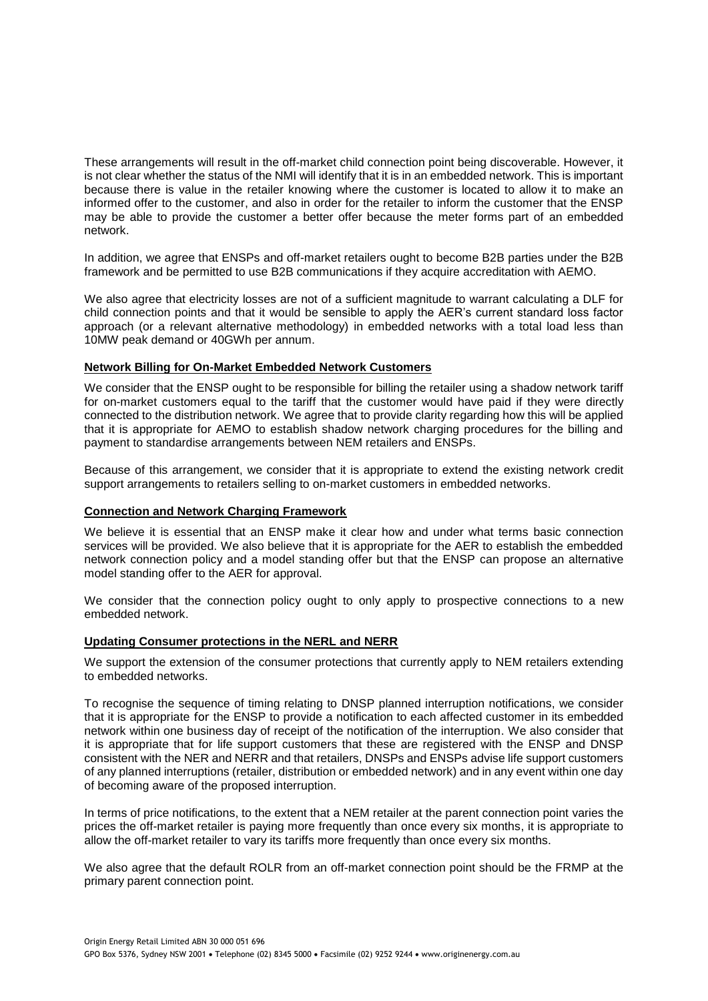These arrangements will result in the off-market child connection point being discoverable. However, it is not clear whether the status of the NMI will identify that it is in an embedded network. This is important because there is value in the retailer knowing where the customer is located to allow it to make an informed offer to the customer, and also in order for the retailer to inform the customer that the ENSP may be able to provide the customer a better offer because the meter forms part of an embedded network.

In addition, we agree that ENSPs and off-market retailers ought to become B2B parties under the B2B framework and be permitted to use B2B communications if they acquire accreditation with AEMO.

We also agree that electricity losses are not of a sufficient magnitude to warrant calculating a DLF for child connection points and that it would be sensible to apply the AER's current standard loss factor approach (or a relevant alternative methodology) in embedded networks with a total load less than 10MW peak demand or 40GWh per annum.

#### **Network Billing for On-Market Embedded Network Customers**

We consider that the ENSP ought to be responsible for billing the retailer using a shadow network tariff for on-market customers equal to the tariff that the customer would have paid if they were directly connected to the distribution network. We agree that to provide clarity regarding how this will be applied that it is appropriate for AEMO to establish shadow network charging procedures for the billing and payment to standardise arrangements between NEM retailers and ENSPs.

Because of this arrangement, we consider that it is appropriate to extend the existing network credit support arrangements to retailers selling to on-market customers in embedded networks.

#### **Connection and Network Charging Framework**

We believe it is essential that an ENSP make it clear how and under what terms basic connection services will be provided. We also believe that it is appropriate for the AER to establish the embedded network connection policy and a model standing offer but that the ENSP can propose an alternative model standing offer to the AER for approval.

We consider that the connection policy ought to only apply to prospective connections to a new embedded network.

# **Updating Consumer protections in the NERL and NERR**

We support the extension of the consumer protections that currently apply to NEM retailers extending to embedded networks.

To recognise the sequence of timing relating to DNSP planned interruption notifications, we consider that it is appropriate for the ENSP to provide a notification to each affected customer in its embedded network within one business day of receipt of the notification of the interruption. We also consider that it is appropriate that for life support customers that these are registered with the ENSP and DNSP consistent with the NER and NERR and that retailers, DNSPs and ENSPs advise life support customers of any planned interruptions (retailer, distribution or embedded network) and in any event within one day of becoming aware of the proposed interruption.

In terms of price notifications, to the extent that a NEM retailer at the parent connection point varies the prices the off-market retailer is paying more frequently than once every six months, it is appropriate to allow the off-market retailer to vary its tariffs more frequently than once every six months.

We also agree that the default ROLR from an off-market connection point should be the FRMP at the primary parent connection point.